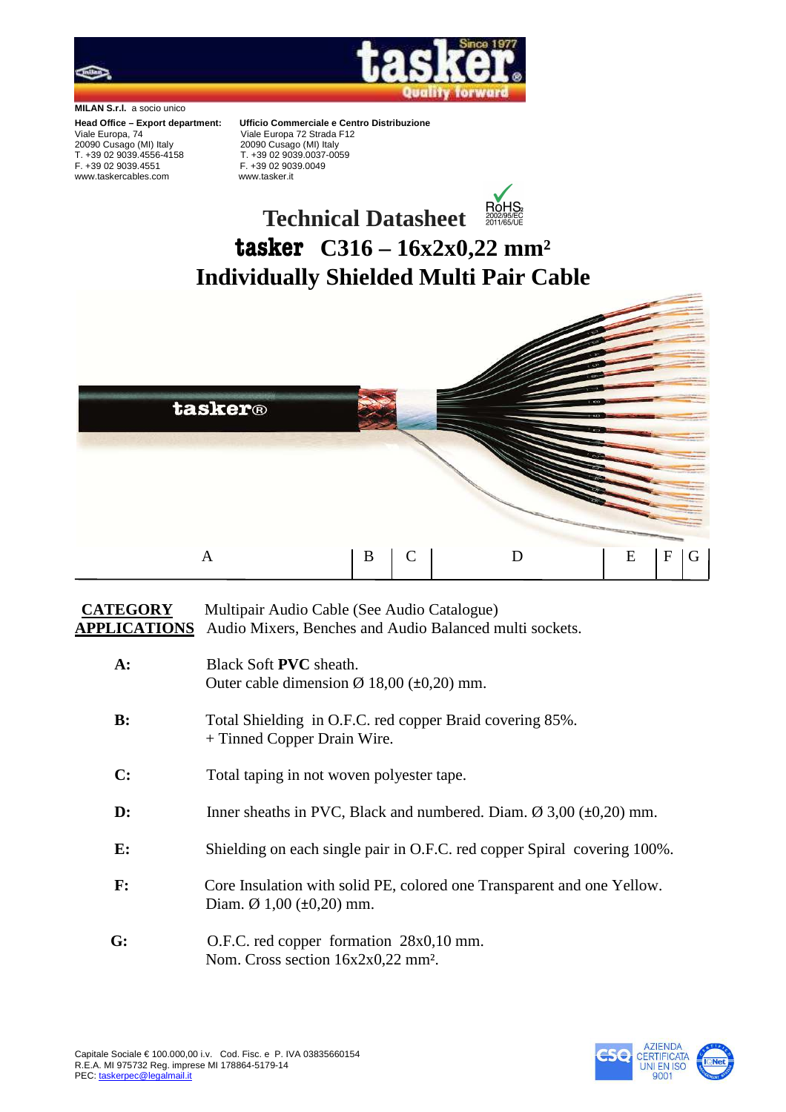

**MILAN S.r.l.** a socio unico

Viale Europa, 74Viale Europa 72 Strada F12 20090 Cusago (MI) Italy 20090 Cusago (MI) Italy T. +39 02 9039.4556-4158 T. +39 02 9039.0037-0059 www.taskercables.com www.tasker.it

**Head Office – Export department: Ufficio Commerciale e Centro Distribuzione**<br>Viale Europa 72 Strada F12 F. +39 02 9039.0049

## **ROHS Technical Datasheet tasker C316 – 16x2x0,22 mm² Individually Shielded Multi Pair Cable**



## **CATEGORY** Multipair Audio Cable (See Audio Catalogue) **APPLICATIONS** Audio Mixers, Benches and Audio Balanced multi sockets.

| $A$ :          | Black Soft <b>PVC</b> sheath.                                                                                        |  |  |  |  |  |  |
|----------------|----------------------------------------------------------------------------------------------------------------------|--|--|--|--|--|--|
|                | Outer cable dimension $\varnothing$ 18,00 ( $\pm$ 0,20) mm.                                                          |  |  |  |  |  |  |
| B:             | Total Shielding in O.F.C. red copper Braid covering 85%.<br>+ Tinned Copper Drain Wire.                              |  |  |  |  |  |  |
| C:             | Total taping in not woven polyester tape.                                                                            |  |  |  |  |  |  |
| $\mathbf{D}$ : | Inner sheaths in PVC, Black and numbered. Diam. $\varnothing$ 3,00 ( $\pm$ 0,20) mm.                                 |  |  |  |  |  |  |
| E:             | Shielding on each single pair in O.F.C. red copper Spiral covering 100%.                                             |  |  |  |  |  |  |
| $\mathbf{F}$ : | Core Insulation with solid PE, colored one Transparent and one Yellow.<br>Diam. $\varnothing$ 1,00 ( $\pm$ 0,20) mm. |  |  |  |  |  |  |
| G:             | O.F.C. red copper formation 28x0,10 mm.<br>Nom. Cross section $16x2x0,22$ mm <sup>2</sup> .                          |  |  |  |  |  |  |